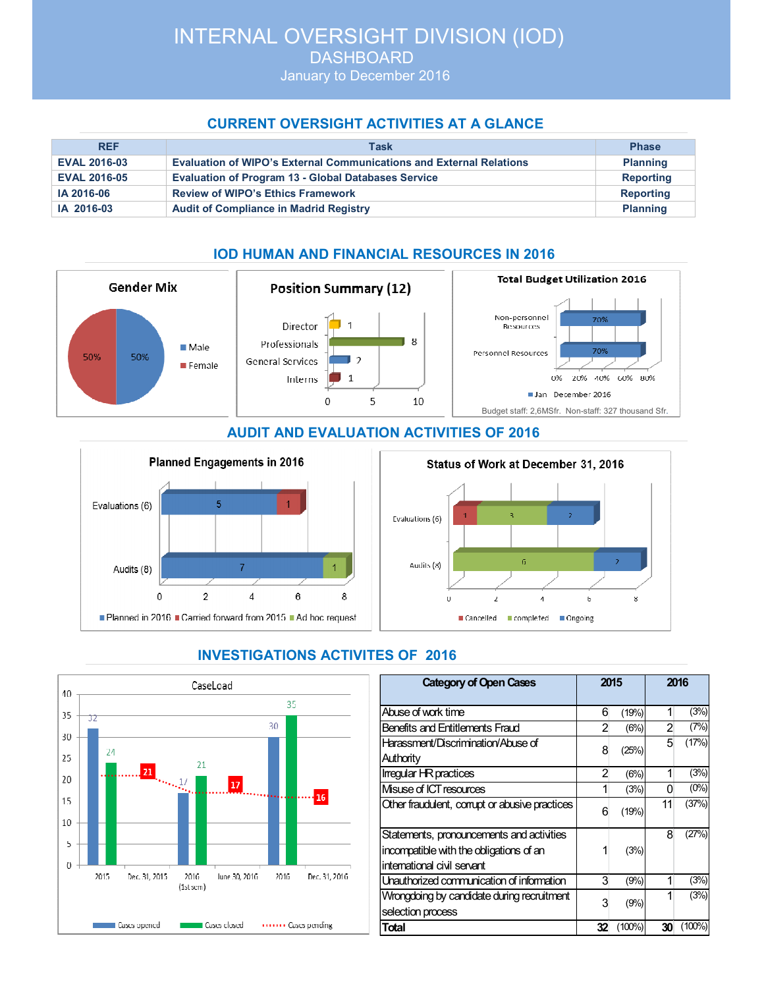DASHBOARD January to December 2016

## **CURRENT OVERSIGHT ACTIVITIES AT A GLANCE**

| <b>REF</b>          | Task                                                                       | <b>Phase</b>     |
|---------------------|----------------------------------------------------------------------------|------------------|
| <b>EVAL 2016-03</b> | <b>Evaluation of WIPO's External Communications and External Relations</b> | <b>Planning</b>  |
| <b>EVAL 2016-05</b> | <b>Evaluation of Program 13 - Global Databases Service</b>                 | <b>Reporting</b> |
| IA 2016-06          | <b>Review of WIPO's Ethics Framework</b>                                   | <b>Reporting</b> |
| IA 2016-03          | <b>Audit of Compliance in Madrid Registry</b>                              | <b>Planning</b>  |

# **IOD HUMAN AND FINANCIAL RESOURCES IN 2016**



**AUDIT AND EVALUATION ACTIVITIES OF 2016** 



#### Status of Work at December 31, 2016





# **INVESTIGATIONS ACTIVITES OF 2016**

| <b>Category of Open Cases</b>                                                                                      |    | 2015      |    | 2016    |  |
|--------------------------------------------------------------------------------------------------------------------|----|-----------|----|---------|--|
| Abuse of work time                                                                                                 | 6  | (19%)     | 1  | (3%)    |  |
| Benefits and Entitlements Fraud                                                                                    |    | (6%)      | 2  | (7%)    |  |
| Harassment/Discrimination/Abuse of                                                                                 | 8  | (25%)     | 5  | (17%)   |  |
| Authority                                                                                                          |    |           |    |         |  |
| Irregular HR practices                                                                                             |    | (6%)      |    | (3%)    |  |
| Misuse of ICT resources                                                                                            | 1  | (3%)      | O  | $(0\%)$ |  |
| Other fraudulent, corrupt or abusive practices                                                                     | 6  | (19%)     | 11 | (37%)   |  |
| Statements, pronouncements and activities<br>incompatible with the obligations of an<br>intemational civil servant | 1  | (3%)      | 8  | (27%)   |  |
| Unauthorized communication of information                                                                          |    | (9%)      |    | (3%)    |  |
| Wrongdoing by candidate during recruitment<br>selection process                                                    | 3  | (9%)      |    | (3%)    |  |
| <b>Total</b>                                                                                                       | 32 | $(100\%)$ | 30 | (100%   |  |